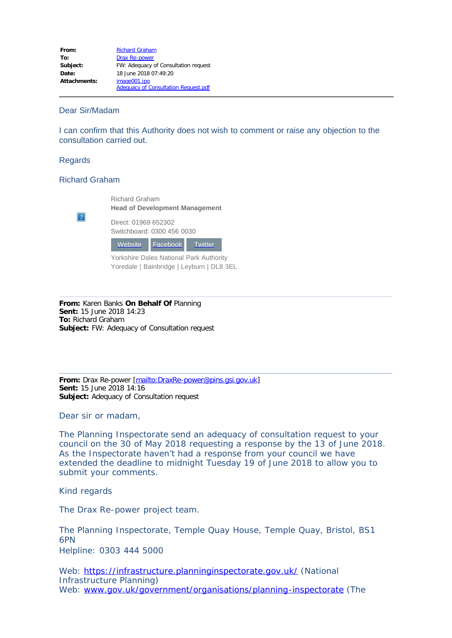#### Dear Sir/Madam

I can confirm that this Authority does not wish to comment or raise any objection to the consultation carried out.

### Regards

#### Richard Graham

Richard Graham **Head of Development Management**

 $\overline{?}$ 

Direct: 01969 652302 Switchboard: 0300 456 0030



Yorkshire Dales National Park Authority Yoredale | Bainbridge | Leyburn | DL8 3EL

**From:** Karen Banks **On Behalf Of** Planning **Sent:** 15 June 2018 14:23 **To:** Richard Graham **Subject:** FW: Adequacy of Consultation request

**From:** Drax Re-power [[mailto:DraxRe-power@pins.gsi.gov.uk\]](mailto:DraxRe-power@pins.gsi.gov.uk) **Sent:** 15 June 2018 14:16 **Subject:** Adequacy of Consultation request

Dear sir or madam,

The Planning Inspectorate send an adequacy of consultation request to your council on the 30 of May 2018 requesting a response by the 13 of June 2018. As the Inspectorate haven't had a response from your council we have extended the deadline to midnight Tuesday 19 of June 2018 to allow you to submit your comments.

Kind regards

The Drax Re-power project team.

The Planning Inspectorate, Temple Quay House, Temple Quay, Bristol, BS1 6PN Helpline: 0303 444 5000

Web: <https://infrastructure.planninginspectorate.gov.uk/>(National Infrastructure Planning) Web: [www.gov.uk/government/organisations/planning-inspectorate](http://www.gov.uk/government/organisations/planning-inspectorate) (The